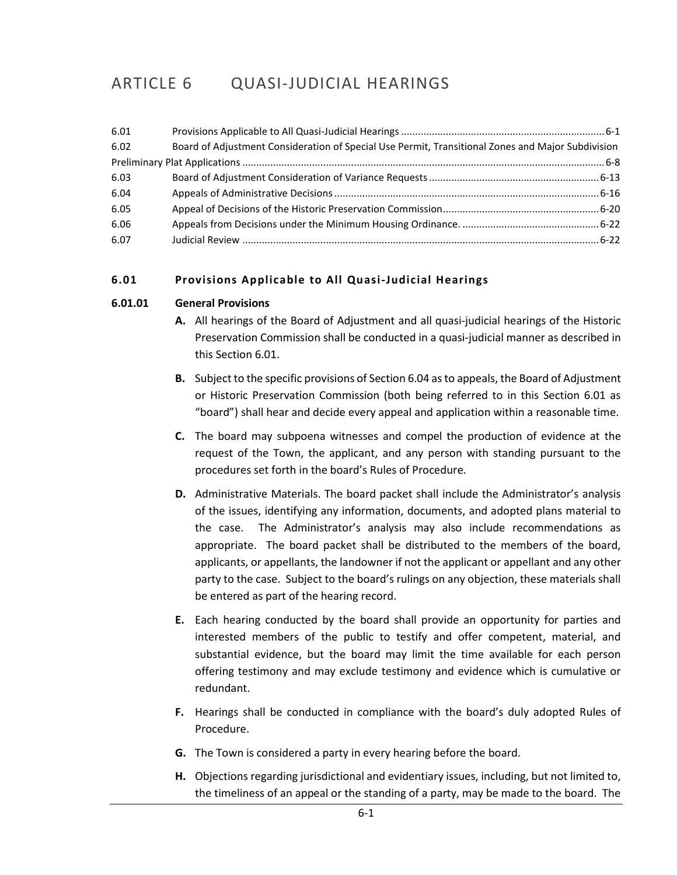# ARTICLE 6 QUASI-JUDICIAL HEARINGS

| 6.01 |                                                                                                   |  |
|------|---------------------------------------------------------------------------------------------------|--|
| 6.02 | Board of Adjustment Consideration of Special Use Permit, Transitional Zones and Major Subdivision |  |
|      |                                                                                                   |  |
| 6.03 |                                                                                                   |  |
| 6.04 |                                                                                                   |  |
| 6.05 |                                                                                                   |  |
| 6.06 |                                                                                                   |  |
| 6.07 |                                                                                                   |  |

# <span id="page-0-0"></span>**6.01 Provisions Applicable to All Quasi-Judicial Hearings**

#### **6.01.01 General Provisions**

- **A.** All hearings of the Board of Adjustment and all quasi-judicial hearings of the Historic Preservation Commission shall be conducted in a quasi-judicial manner as described in this Section 6.01.
- **B.** Subject to the specific provisions of Section 6.04 as to appeals, the Board of Adjustment or Historic Preservation Commission (both being referred to in this Section 6.01 as "board") shall hear and decide every appeal and application within a reasonable time.
- **C.** The board may subpoena witnesses and compel the production of evidence at the request of the Town, the applicant, and any person with standing pursuant to the procedures set forth in the board's Rules of Procedure.
- **D.** Administrative Materials. The board packet shall include the Administrator's analysis of the issues, identifying any information, documents, and adopted plans material to the case. The Administrator's analysis may also include recommendations as appropriate. The board packet shall be distributed to the members of the board, applicants, or appellants, the landowner if not the applicant or appellant and any other party to the case. Subject to the board's rulings on any objection, these materials shall be entered as part of the hearing record.
- **E.** Each hearing conducted by the board shall provide an opportunity for parties and interested members of the public to testify and offer competent, material, and substantial evidence, but the board may limit the time available for each person offering testimony and may exclude testimony and evidence which is cumulative or redundant.
- **F.** Hearings shall be conducted in compliance with the board's duly adopted Rules of Procedure.
- **G.** The Town is considered a party in every hearing before the board.
- **H.** Objections regarding jurisdictional and evidentiary issues, including, but not limited to, the timeliness of an appeal or the standing of a party, may be made to the board. The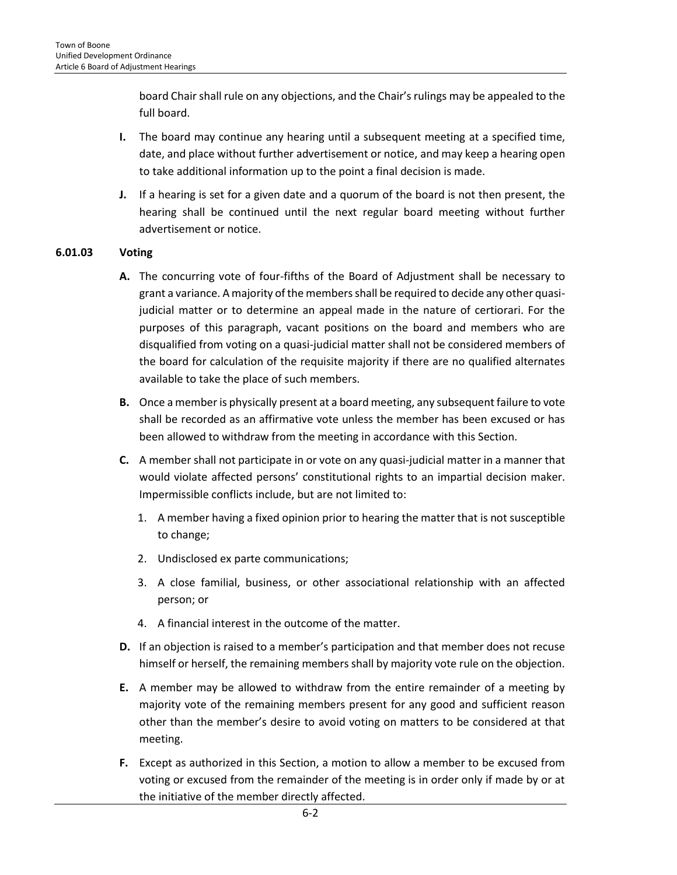board Chair shall rule on any objections, and the Chair's rulings may be appealed to the full board.

- **I.** The board may continue any hearing until a subsequent meeting at a specified time, date, and place without further advertisement or notice, and may keep a hearing open to take additional information up to the point a final decision is made.
- **J.** If a hearing is set for a given date and a quorum of the board is not then present, the hearing shall be continued until the next regular board meeting without further advertisement or notice.

#### **6.01.03 Voting**

- **A.** The concurring vote of four-fifths of the Board of Adjustment shall be necessary to grant a variance. A majority of the members shall be required to decide any other quasijudicial matter or to determine an appeal made in the nature of certiorari. For the purposes of this paragraph, vacant positions on the board and members who are disqualified from voting on a quasi-judicial matter shall not be considered members of the board for calculation of the requisite majority if there are no qualified alternates available to take the place of such members.
- **B.** Once a member is physically present at a board meeting, any subsequent failure to vote shall be recorded as an affirmative vote unless the member has been excused or has been allowed to withdraw from the meeting in accordance with this Section.
- **C.** A member shall not participate in or vote on any quasi-judicial matter in a manner that would violate affected persons' constitutional rights to an impartial decision maker. Impermissible conflicts include, but are not limited to:
	- 1. A member having a fixed opinion prior to hearing the matter that is not susceptible to change;
	- 2. Undisclosed ex parte communications;
	- 3. A close familial, business, or other associational relationship with an affected person; or
	- 4. A financial interest in the outcome of the matter.
- **D.** If an objection is raised to a member's participation and that member does not recuse himself or herself, the remaining members shall by majority vote rule on the objection.
- **E.** A member may be allowed to withdraw from the entire remainder of a meeting by majority vote of the remaining members present for any good and sufficient reason other than the member's desire to avoid voting on matters to be considered at that meeting.
- **F.** Except as authorized in this Section, a motion to allow a member to be excused from voting or excused from the remainder of the meeting is in order only if made by or at the initiative of the member directly affected.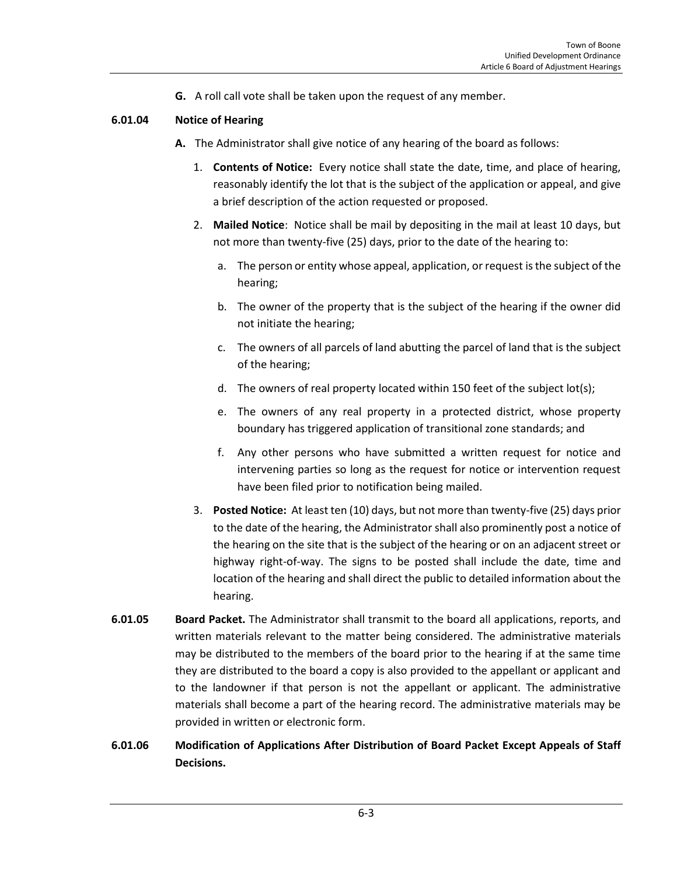**G.** A roll call vote shall be taken upon the request of any member.

#### **6.01.04 Notice of Hearing**

- **A.** The Administrator shall give notice of any hearing of the board as follows:
	- 1. **Contents of Notice:** Every notice shall state the date, time, and place of hearing, reasonably identify the lot that is the subject of the application or appeal, and give a brief description of the action requested or proposed.
	- 2. **Mailed Notice**: Notice shall be mail by depositing in the mail at least 10 days, but not more than twenty-five (25) days, prior to the date of the hearing to:
		- a. The person or entity whose appeal, application, or request is the subject of the hearing;
		- b. The owner of the property that is the subject of the hearing if the owner did not initiate the hearing;
		- c. The owners of all parcels of land abutting the parcel of land that is the subject of the hearing;
		- d. The owners of real property located within 150 feet of the subject lot(s);
		- e. The owners of any real property in a protected district, whose property boundary has triggered application of transitional zone standards; and
		- f. Any other persons who have submitted a written request for notice and intervening parties so long as the request for notice or intervention request have been filed prior to notification being mailed.
	- 3. **Posted Notice:** At least ten (10) days, but not more than twenty-five (25) days prior to the date of the hearing, the Administrator shall also prominently post a notice of the hearing on the site that is the subject of the hearing or on an adjacent street or highway right-of-way. The signs to be posted shall include the date, time and location of the hearing and shall direct the public to detailed information about the hearing.
- **6.01.05 Board Packet.** The Administrator shall transmit to the board all applications, reports, and written materials relevant to the matter being considered. The administrative materials may be distributed to the members of the board prior to the hearing if at the same time they are distributed to the board a copy is also provided to the appellant or applicant and to the landowner if that person is not the appellant or applicant. The administrative materials shall become a part of the hearing record. The administrative materials may be provided in written or electronic form.
- **6.01.06 Modification of Applications After Distribution of Board Packet Except Appeals of Staff Decisions.**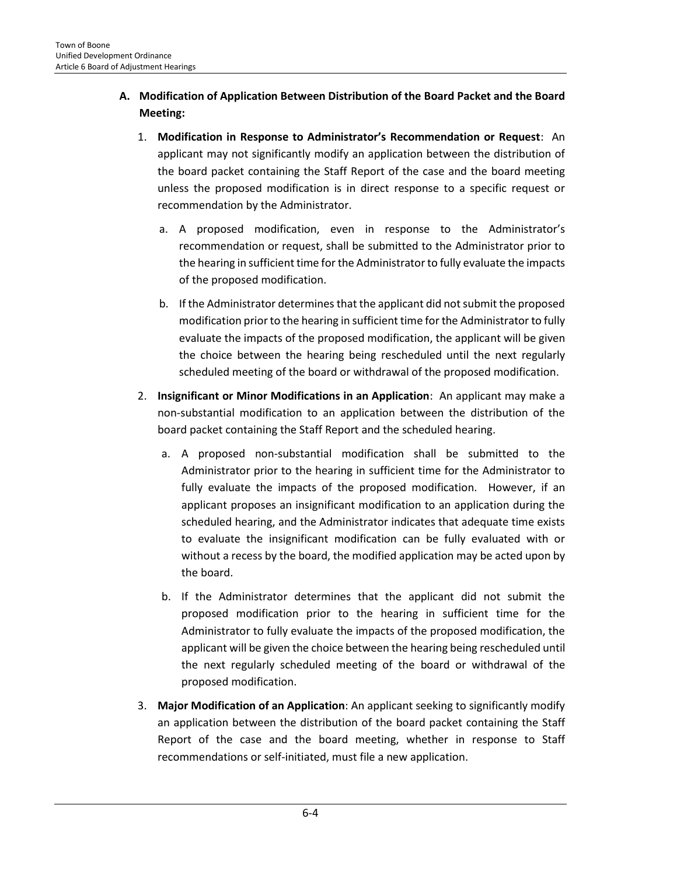# **A. Modification of Application Between Distribution of the Board Packet and the Board Meeting:**

- 1. **Modification in Response to Administrator's Recommendation or Request**: An applicant may not significantly modify an application between the distribution of the board packet containing the Staff Report of the case and the board meeting unless the proposed modification is in direct response to a specific request or recommendation by the Administrator.
	- a. A proposed modification, even in response to the Administrator's recommendation or request, shall be submitted to the Administrator prior to the hearing in sufficient time for the Administrator to fully evaluate the impacts of the proposed modification.
	- b. If the Administrator determines that the applicant did not submit the proposed modification prior to the hearing in sufficient time for the Administrator to fully evaluate the impacts of the proposed modification, the applicant will be given the choice between the hearing being rescheduled until the next regularly scheduled meeting of the board or withdrawal of the proposed modification.
- 2. **Insignificant or Minor Modifications in an Application**: An applicant may make a non-substantial modification to an application between the distribution of the board packet containing the Staff Report and the scheduled hearing.
	- a. A proposed non-substantial modification shall be submitted to the Administrator prior to the hearing in sufficient time for the Administrator to fully evaluate the impacts of the proposed modification. However, if an applicant proposes an insignificant modification to an application during the scheduled hearing, and the Administrator indicates that adequate time exists to evaluate the insignificant modification can be fully evaluated with or without a recess by the board, the modified application may be acted upon by the board.
	- b. If the Administrator determines that the applicant did not submit the proposed modification prior to the hearing in sufficient time for the Administrator to fully evaluate the impacts of the proposed modification, the applicant will be given the choice between the hearing being rescheduled until the next regularly scheduled meeting of the board or withdrawal of the proposed modification.
- 3. **Major Modification of an Application**: An applicant seeking to significantly modify an application between the distribution of the board packet containing the Staff Report of the case and the board meeting, whether in response to Staff recommendations or self-initiated, must file a new application.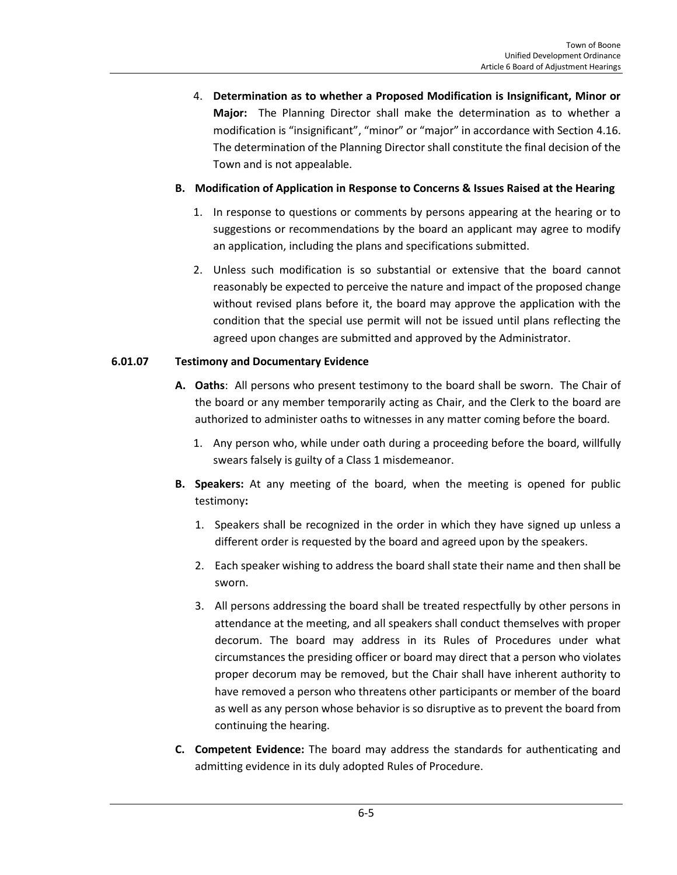4. **Determination as to whether a Proposed Modification is Insignificant, Minor or Major:** The Planning Director shall make the determination as to whether a modification is "insignificant", "minor" or "major" in accordance with Section 4.16. The determination of the Planning Director shall constitute the final decision of the Town and is not appealable.

#### **B. Modification of Application in Response to Concerns & Issues Raised at the Hearing**

- 1. In response to questions or comments by persons appearing at the hearing or to suggestions or recommendations by the board an applicant may agree to modify an application, including the plans and specifications submitted.
- 2. Unless such modification is so substantial or extensive that the board cannot reasonably be expected to perceive the nature and impact of the proposed change without revised plans before it, the board may approve the application with the condition that the special use permit will not be issued until plans reflecting the agreed upon changes are submitted and approved by the Administrator.

#### **6.01.07 Testimony and Documentary Evidence**

- **A. Oaths**: All persons who present testimony to the board shall be sworn. The Chair of the board or any member temporarily acting as Chair, and the Clerk to the board are authorized to administer oaths to witnesses in any matter coming before the board.
	- 1. Any person who, while under oath during a proceeding before the board, willfully swears falsely is guilty of a Class 1 misdemeanor.
- **B. Speakers:** At any meeting of the board, when the meeting is opened for public testimony**:** 
	- 1. Speakers shall be recognized in the order in which they have signed up unless a different order is requested by the board and agreed upon by the speakers.
	- 2. Each speaker wishing to address the board shall state their name and then shall be sworn.
	- 3. All persons addressing the board shall be treated respectfully by other persons in attendance at the meeting, and all speakers shall conduct themselves with proper decorum. The board may address in its Rules of Procedures under what circumstances the presiding officer or board may direct that a person who violates proper decorum may be removed, but the Chair shall have inherent authority to have removed a person who threatens other participants or member of the board as well as any person whose behavior is so disruptive as to prevent the board from continuing the hearing.
- **C. Competent Evidence:** The board may address the standards for authenticating and admitting evidence in its duly adopted Rules of Procedure.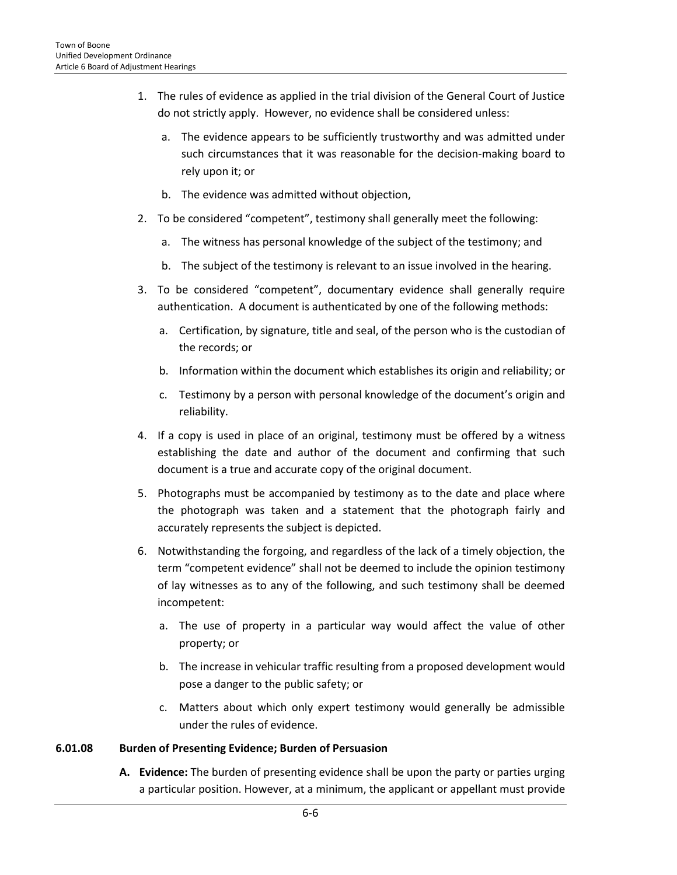- 1. The rules of evidence as applied in the trial division of the General Court of Justice do not strictly apply. However, no evidence shall be considered unless:
	- a. The evidence appears to be sufficiently trustworthy and was admitted under such circumstances that it was reasonable for the decision-making board to rely upon it; or
	- b. The evidence was admitted without objection,
- 2. To be considered "competent", testimony shall generally meet the following:
	- a. The witness has personal knowledge of the subject of the testimony; and
	- b. The subject of the testimony is relevant to an issue involved in the hearing.
- 3. To be considered "competent", documentary evidence shall generally require authentication. A document is authenticated by one of the following methods:
	- a. Certification, by signature, title and seal, of the person who is the custodian of the records; or
	- b. Information within the document which establishes its origin and reliability; or
	- c. Testimony by a person with personal knowledge of the document's origin and reliability.
- 4. If a copy is used in place of an original, testimony must be offered by a witness establishing the date and author of the document and confirming that such document is a true and accurate copy of the original document.
- 5. Photographs must be accompanied by testimony as to the date and place where the photograph was taken and a statement that the photograph fairly and accurately represents the subject is depicted.
- 6. Notwithstanding the forgoing, and regardless of the lack of a timely objection, the term "competent evidence" shall not be deemed to include the opinion testimony of lay witnesses as to any of the following, and such testimony shall be deemed incompetent:
	- a. The use of property in a particular way would affect the value of other property; or
	- b. The increase in vehicular traffic resulting from a proposed development would pose a danger to the public safety; or
	- c. Matters about which only expert testimony would generally be admissible under the rules of evidence.

#### **6.01.08 Burden of Presenting Evidence; Burden of Persuasion**

**A. Evidence:** The burden of presenting evidence shall be upon the party or parties urging a particular position. However, at a minimum, the applicant or appellant must provide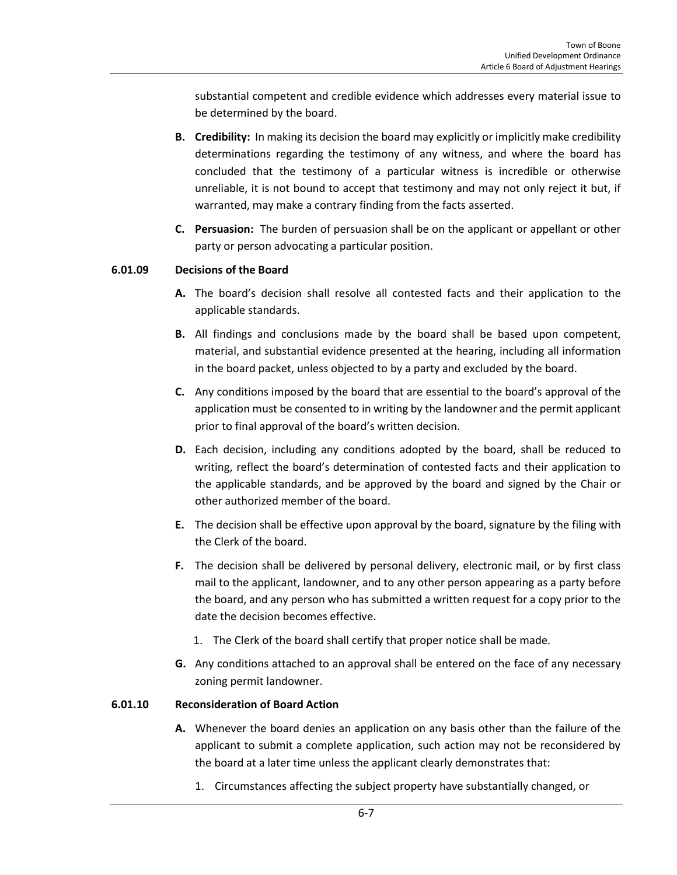substantial competent and credible evidence which addresses every material issue to be determined by the board.

- **B. Credibility:** In making its decision the board may explicitly or implicitly make credibility determinations regarding the testimony of any witness, and where the board has concluded that the testimony of a particular witness is incredible or otherwise unreliable, it is not bound to accept that testimony and may not only reject it but, if warranted, may make a contrary finding from the facts asserted.
- **C. Persuasion:** The burden of persuasion shall be on the applicant or appellant or other party or person advocating a particular position.

# **6.01.09 Decisions of the Board**

- **A.** The board's decision shall resolve all contested facts and their application to the applicable standards.
- **B.** All findings and conclusions made by the board shall be based upon competent, material, and substantial evidence presented at the hearing, including all information in the board packet, unless objected to by a party and excluded by the board.
- **C.** Any conditions imposed by the board that are essential to the board's approval of the application must be consented to in writing by the landowner and the permit applicant prior to final approval of the board's written decision.
- **D.** Each decision, including any conditions adopted by the board, shall be reduced to writing, reflect the board's determination of contested facts and their application to the applicable standards, and be approved by the board and signed by the Chair or other authorized member of the board.
- **E.** The decision shall be effective upon approval by the board, signature by the filing with the Clerk of the board.
- **F.** The decision shall be delivered by personal delivery, electronic mail, or by first class mail to the applicant, landowner, and to any other person appearing as a party before the board, and any person who has submitted a written request for a copy prior to the date the decision becomes effective.
	- 1. The Clerk of the board shall certify that proper notice shall be made.
- **G.** Any conditions attached to an approval shall be entered on the face of any necessary zoning permit landowner.

# **6.01.10 Reconsideration of Board Action**

- **A.** Whenever the board denies an application on any basis other than the failure of the applicant to submit a complete application, such action may not be reconsidered by the board at a later time unless the applicant clearly demonstrates that:
	- 1. Circumstances affecting the subject property have substantially changed, or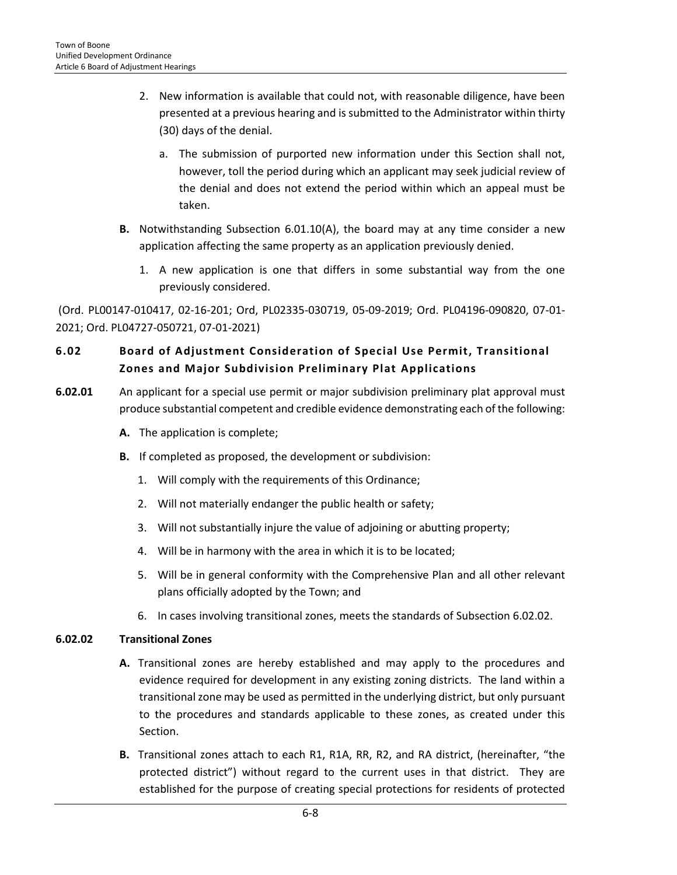- 2. New information is available that could not, with reasonable diligence, have been presented at a previous hearing and is submitted to the Administrator within thirty (30) days of the denial.
	- a. The submission of purported new information under this Section shall not, however, toll the period during which an applicant may seek judicial review of the denial and does not extend the period within which an appeal must be taken.
- **B.** Notwithstanding Subsection 6.01.10(A), the board may at any time consider a new application affecting the same property as an application previously denied.
	- 1. A new application is one that differs in some substantial way from the one previously considered.

(Ord. PL00147-010417, 02-16-201; Ord, PL02335-030719, 05-09-2019; Ord. PL04196-090820, 07-01- 2021; Ord. PL04727-050721, 07-01-2021)

# <span id="page-7-0"></span>**6.02 Board of Adjustment Consideration of Special Use Permit, Transitional Zones and Major Subdivision Preliminary Plat Applications**

- **6.02.01** An applicant for a special use permit or major subdivision preliminary plat approval must produce substantial competent and credible evidence demonstrating each of the following:
	- **A.** The application is complete;
	- **B.** If completed as proposed, the development or subdivision:
		- 1. Will comply with the requirements of this Ordinance;
		- 2. Will not materially endanger the public health or safety;
		- 3. Will not substantially injure the value of adjoining or abutting property;
		- 4. Will be in harmony with the area in which it is to be located;
		- 5. Will be in general conformity with the Comprehensive Plan and all other relevant plans officially adopted by the Town; and
		- 6. In cases involving transitional zones, meets the standards of Subsection 6.02.02.

# **6.02.02 Transitional Zones**

- **A.** Transitional zones are hereby established and may apply to the procedures and evidence required for development in any existing zoning districts. The land within a transitional zone may be used as permitted in the underlying district, but only pursuant to the procedures and standards applicable to these zones, as created under this Section.
- **B.** Transitional zones attach to each R1, R1A, RR, R2, and RA district, (hereinafter, "the protected district") without regard to the current uses in that district. They are established for the purpose of creating special protections for residents of protected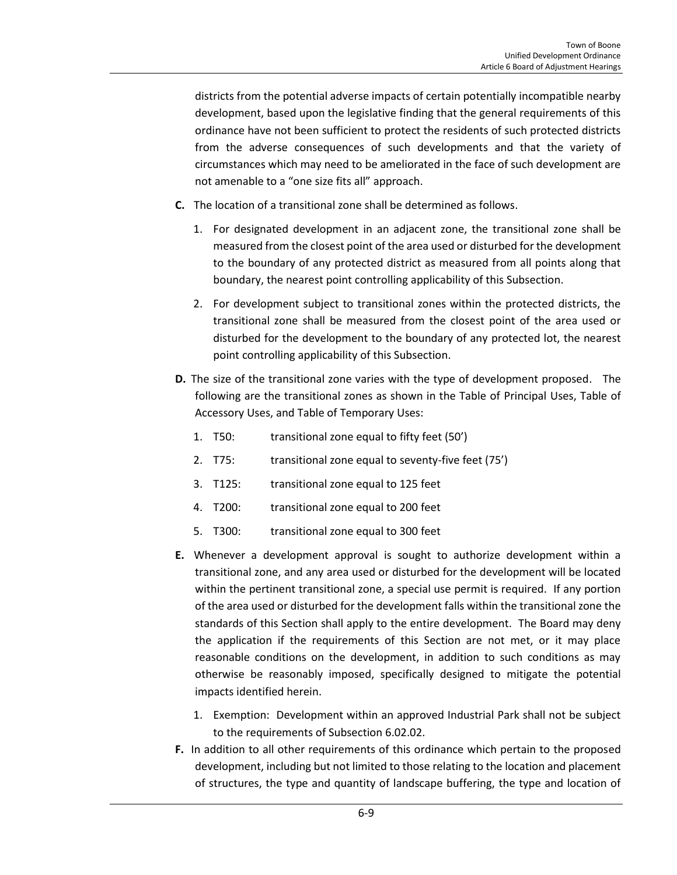districts from the potential adverse impacts of certain potentially incompatible nearby development, based upon the legislative finding that the general requirements of this ordinance have not been sufficient to protect the residents of such protected districts from the adverse consequences of such developments and that the variety of circumstances which may need to be ameliorated in the face of such development are not amenable to a "one size fits all" approach.

- **C.** The location of a transitional zone shall be determined as follows.
	- 1. For designated development in an adjacent zone, the transitional zone shall be measured from the closest point of the area used or disturbed for the development to the boundary of any protected district as measured from all points along that boundary, the nearest point controlling applicability of this Subsection.
	- 2. For development subject to transitional zones within the protected districts, the transitional zone shall be measured from the closest point of the area used or disturbed for the development to the boundary of any protected lot, the nearest point controlling applicability of this Subsection.
- **D.** The size of the transitional zone varies with the type of development proposed. The following are the transitional zones as shown in the Table of Principal Uses, Table of Accessory Uses, and Table of Temporary Uses:
	- 1. T50: transitional zone equal to fifty feet (50')
	- 2. T75: transitional zone equal to seventy-five feet (75')
	- 3. T125: transitional zone equal to 125 feet
	- 4. T200: transitional zone equal to 200 feet
	- 5. T300: transitional zone equal to 300 feet
- **E.** Whenever a development approval is sought to authorize development within a transitional zone, and any area used or disturbed for the development will be located within the pertinent transitional zone, a special use permit is required. If any portion of the area used or disturbed for the development falls within the transitional zone the standards of this Section shall apply to the entire development. The Board may deny the application if the requirements of this Section are not met, or it may place reasonable conditions on the development, in addition to such conditions as may otherwise be reasonably imposed, specifically designed to mitigate the potential impacts identified herein.
	- 1. Exemption: Development within an approved Industrial Park shall not be subject to the requirements of Subsection 6.02.02.
- **F.** In addition to all other requirements of this ordinance which pertain to the proposed development, including but not limited to those relating to the location and placement of structures, the type and quantity of landscape buffering, the type and location of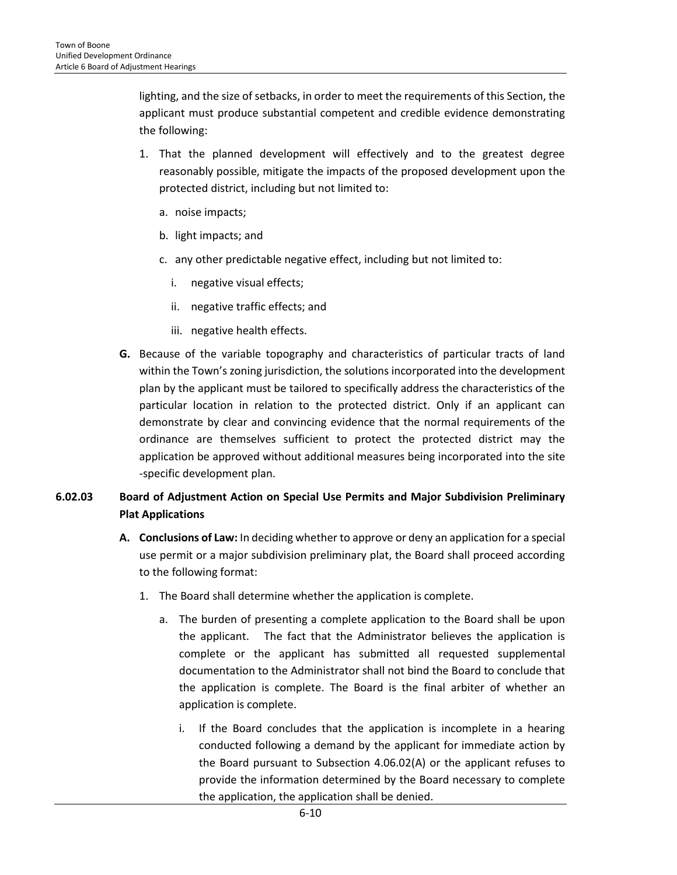lighting, and the size of setbacks, in order to meet the requirements of this Section, the applicant must produce substantial competent and credible evidence demonstrating the following:

- 1. That the planned development will effectively and to the greatest degree reasonably possible, mitigate the impacts of the proposed development upon the protected district, including but not limited to:
	- a. noise impacts;
	- b. light impacts; and
	- c. any other predictable negative effect, including but not limited to:
		- i. negative visual effects;
		- ii. negative traffic effects; and
		- iii. negative health effects.
- **G.** Because of the variable topography and characteristics of particular tracts of land within the Town's zoning jurisdiction, the solutions incorporated into the development plan by the applicant must be tailored to specifically address the characteristics of the particular location in relation to the protected district. Only if an applicant can demonstrate by clear and convincing evidence that the normal requirements of the ordinance are themselves sufficient to protect the protected district may the application be approved without additional measures being incorporated into the site -specific development plan.

# **6.02.03 Board of Adjustment Action on Special Use Permits and Major Subdivision Preliminary Plat Applications**

- **A. Conclusions of Law:** In deciding whether to approve or deny an application for a special use permit or a major subdivision preliminary plat, the Board shall proceed according to the following format:
	- 1. The Board shall determine whether the application is complete.
		- a. The burden of presenting a complete application to the Board shall be upon the applicant. The fact that the Administrator believes the application is complete or the applicant has submitted all requested supplemental documentation to the Administrator shall not bind the Board to conclude that the application is complete. The Board is the final arbiter of whether an application is complete.
			- i. If the Board concludes that the application is incomplete in a hearing conducted following a demand by the applicant for immediate action by the Board pursuant to Subsection 4.06.02(A) or the applicant refuses to provide the information determined by the Board necessary to complete the application, the application shall be denied.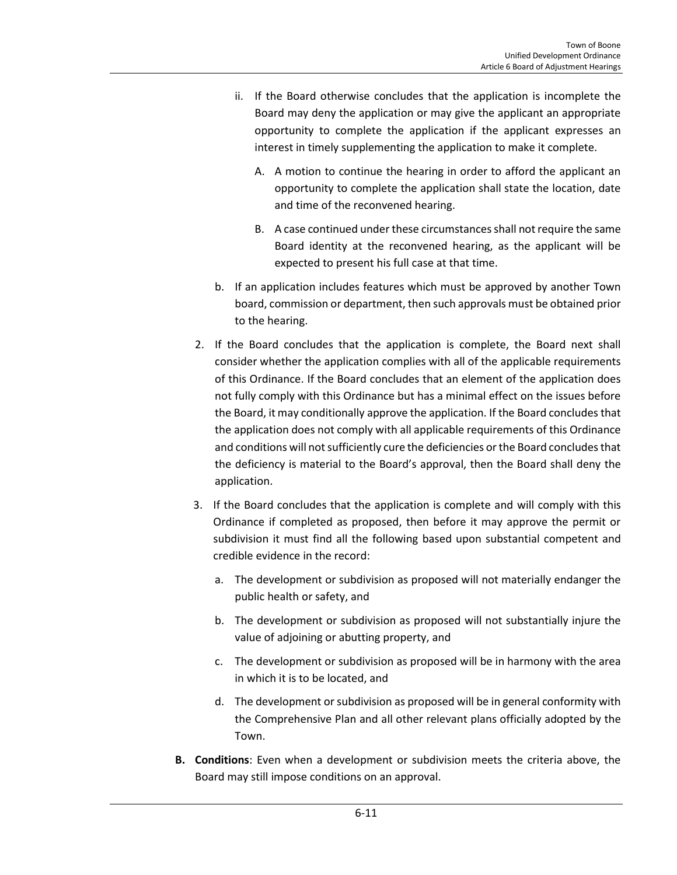- ii. If the Board otherwise concludes that the application is incomplete the Board may deny the application or may give the applicant an appropriate opportunity to complete the application if the applicant expresses an interest in timely supplementing the application to make it complete.
	- A. A motion to continue the hearing in order to afford the applicant an opportunity to complete the application shall state the location, date and time of the reconvened hearing.
	- B. A case continued under these circumstances shall not require the same Board identity at the reconvened hearing, as the applicant will be expected to present his full case at that time.
- b. If an application includes features which must be approved by another Town board, commission or department, then such approvals must be obtained prior to the hearing.
- 2. If the Board concludes that the application is complete, the Board next shall consider whether the application complies with all of the applicable requirements of this Ordinance. If the Board concludes that an element of the application does not fully comply with this Ordinance but has a minimal effect on the issues before the Board, it may conditionally approve the application. If the Board concludes that the application does not comply with all applicable requirements of this Ordinance and conditions will not sufficiently cure the deficiencies or the Board concludes that the deficiency is material to the Board's approval, then the Board shall deny the application.
- 3. If the Board concludes that the application is complete and will comply with this Ordinance if completed as proposed, then before it may approve the permit or subdivision it must find all the following based upon substantial competent and credible evidence in the record:
	- a. The development or subdivision as proposed will not materially endanger the public health or safety, and
	- b. The development or subdivision as proposed will not substantially injure the value of adjoining or abutting property, and
	- c. The development or subdivision as proposed will be in harmony with the area in which it is to be located, and
	- d. The development or subdivision as proposed will be in general conformity with the Comprehensive Plan and all other relevant plans officially adopted by the Town.
- **B. Conditions**: Even when a development or subdivision meets the criteria above, the Board may still impose conditions on an approval.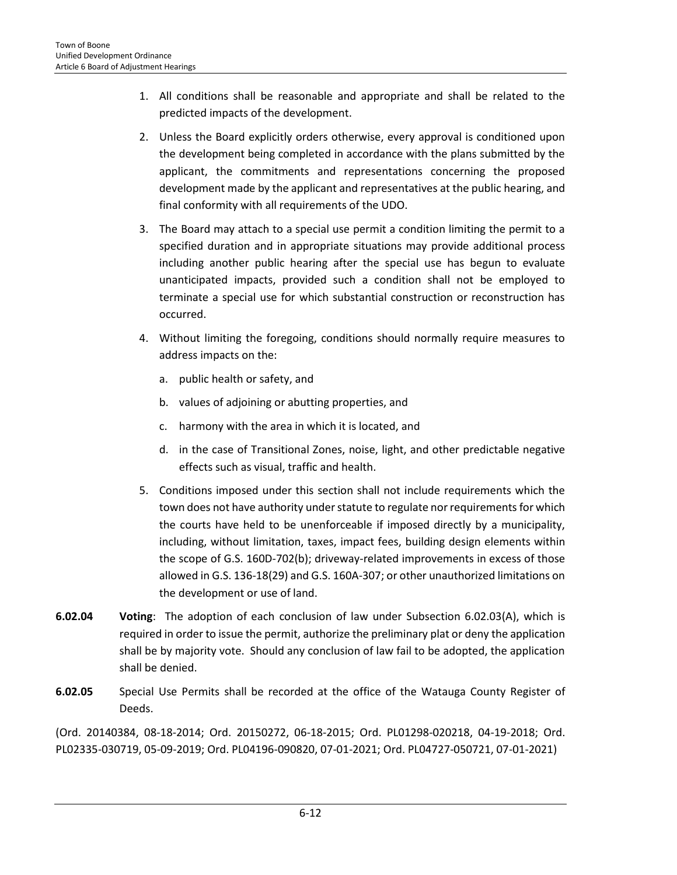- 1. All conditions shall be reasonable and appropriate and shall be related to the predicted impacts of the development.
- 2. Unless the Board explicitly orders otherwise, every approval is conditioned upon the development being completed in accordance with the plans submitted by the applicant, the commitments and representations concerning the proposed development made by the applicant and representatives at the public hearing, and final conformity with all requirements of the UDO.
- 3. The Board may attach to a special use permit a condition limiting the permit to a specified duration and in appropriate situations may provide additional process including another public hearing after the special use has begun to evaluate unanticipated impacts, provided such a condition shall not be employed to terminate a special use for which substantial construction or reconstruction has occurred.
- 4. Without limiting the foregoing, conditions should normally require measures to address impacts on the:
	- a. public health or safety, and
	- b. values of adjoining or abutting properties, and
	- c. harmony with the area in which it is located, and
	- d. in the case of Transitional Zones, noise, light, and other predictable negative effects such as visual, traffic and health.
- 5. Conditions imposed under this section shall not include requirements which the town does not have authority under statute to regulate nor requirements for which the courts have held to be unenforceable if imposed directly by a municipality, including, without limitation, taxes, impact fees, building design elements within the scope of G.S. 160D-702(b); driveway-related improvements in excess of those allowed in G.S. 136-18(29) and G.S. 160A-307; or other unauthorized limitations on the development or use of land.
- **6.02.04 Voting**: The adoption of each conclusion of law under Subsection 6.02.03(A), which is required in order to issue the permit, authorize the preliminary plat or deny the application shall be by majority vote. Should any conclusion of law fail to be adopted, the application shall be denied.
- **6.02.05** Special Use Permits shall be recorded at the office of the Watauga County Register of Deeds.

(Ord. 20140384, 08-18-2014; Ord. 20150272, 06-18-2015; Ord. PL01298-020218, 04-19-2018; Ord. PL02335-030719, 05-09-2019; Ord. PL04196-090820, 07-01-2021; Ord. PL04727-050721, 07-01-2021)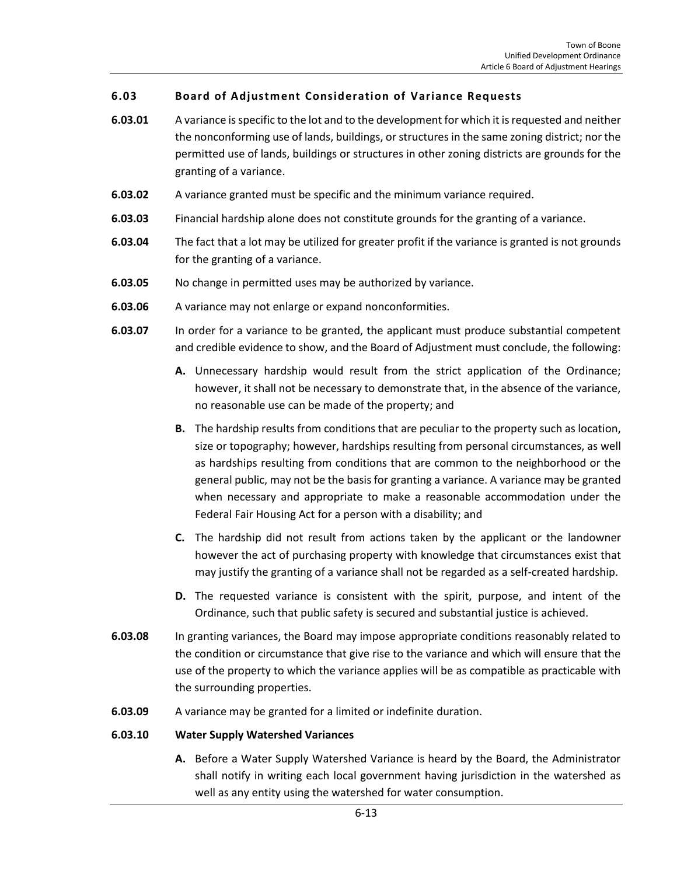# <span id="page-12-0"></span>**6.03 Board of Adjustment Consideration of Variance Requests**

- **6.03.01** A variance is specific to the lot and to the development for which it is requested and neither the nonconforming use of lands, buildings, or structures in the same zoning district; nor the permitted use of lands, buildings or structures in other zoning districts are grounds for the granting of a variance.
- **6.03.02** A variance granted must be specific and the minimum variance required.
- **6.03.03** Financial hardship alone does not constitute grounds for the granting of a variance.
- **6.03.04** The fact that a lot may be utilized for greater profit if the variance is granted is not grounds for the granting of a variance.
- **6.03.05** No change in permitted uses may be authorized by variance.
- **6.03.06** A variance may not enlarge or expand nonconformities.
- **6.03.07** In order for a variance to be granted, the applicant must produce substantial competent and credible evidence to show, and the Board of Adjustment must conclude, the following:
	- **A.** Unnecessary hardship would result from the strict application of the Ordinance; however, it shall not be necessary to demonstrate that, in the absence of the variance, no reasonable use can be made of the property; and
	- **B.** The hardship results from conditions that are peculiar to the property such as location, size or topography; however, hardships resulting from personal circumstances, as well as hardships resulting from conditions that are common to the neighborhood or the general public, may not be the basis for granting a variance. A variance may be granted when necessary and appropriate to make a reasonable accommodation under the Federal Fair Housing Act for a person with a disability; and
	- **C.** The hardship did not result from actions taken by the applicant or the landowner however the act of purchasing property with knowledge that circumstances exist that may justify the granting of a variance shall not be regarded as a self-created hardship.
	- **D.** The requested variance is consistent with the spirit, purpose, and intent of the Ordinance, such that public safety is secured and substantial justice is achieved.
- **6.03.08** In granting variances, the Board may impose appropriate conditions reasonably related to the condition or circumstance that give rise to the variance and which will ensure that the use of the property to which the variance applies will be as compatible as practicable with the surrounding properties.
- **6.03.09** A variance may be granted for a limited or indefinite duration.

#### **6.03.10 Water Supply Watershed Variances**

**A.** Before a Water Supply Watershed Variance is heard by the Board, the Administrator shall notify in writing each local government having jurisdiction in the watershed as well as any entity using the watershed for water consumption.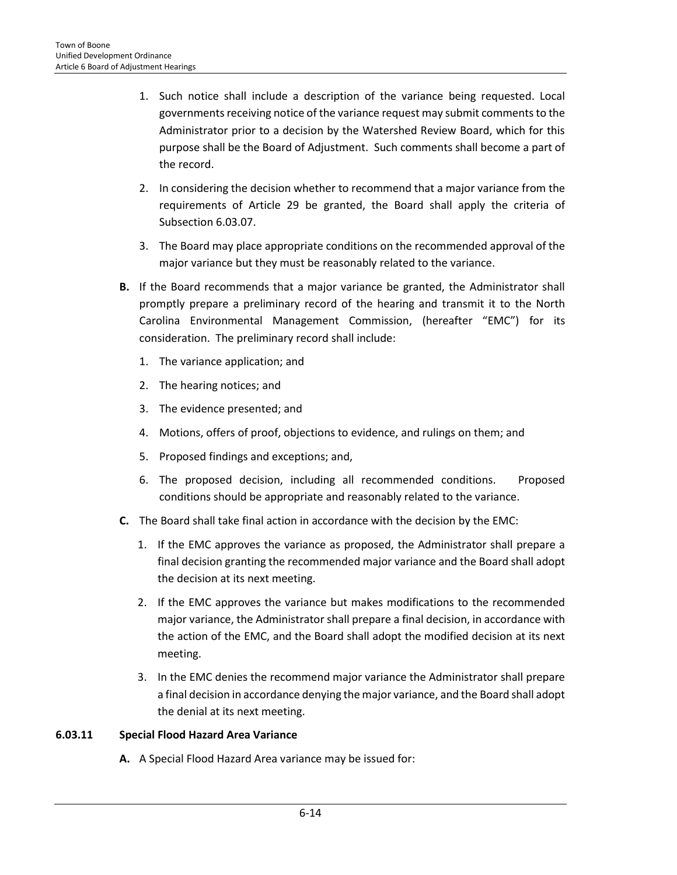- 1. Such notice shall include a description of the variance being requested. Local governments receiving notice of the variance request may submit comments to the Administrator prior to a decision by the Watershed Review Board, which for this purpose shall be the Board of Adjustment. Such comments shall become a part of the record.
- 2. In considering the decision whether to recommend that a major variance from the requirements of Article 29 be granted, the Board shall apply the criteria of Subsection 6.03.07.
- 3. The Board may place appropriate conditions on the recommended approval of the major variance but they must be reasonably related to the variance.
- **B.** If the Board recommends that a major variance be granted, the Administrator shall promptly prepare a preliminary record of the hearing and transmit it to the North Carolina Environmental Management Commission, (hereafter "EMC") for its consideration. The preliminary record shall include:
	- 1. The variance application; and
	- 2. The hearing notices; and
	- 3. The evidence presented; and
	- 4. Motions, offers of proof, objections to evidence, and rulings on them; and
	- 5. Proposed findings and exceptions; and,
	- 6. The proposed decision, including all recommended conditions. Proposed conditions should be appropriate and reasonably related to the variance.
- **C.** The Board shall take final action in accordance with the decision by the EMC:
	- 1. If the EMC approves the variance as proposed, the Administrator shall prepare a final decision granting the recommended major variance and the Board shall adopt the decision at its next meeting.
	- 2. If the EMC approves the variance but makes modifications to the recommended major variance, the Administrator shall prepare a final decision, in accordance with the action of the EMC, and the Board shall adopt the modified decision at its next meeting.
	- 3. In the EMC denies the recommend major variance the Administrator shall prepare a final decision in accordance denying the major variance, and the Board shall adopt the denial at its next meeting.

# **6.03.11 Special Flood Hazard Area Variance**

**A.** A Special Flood Hazard Area variance may be issued for: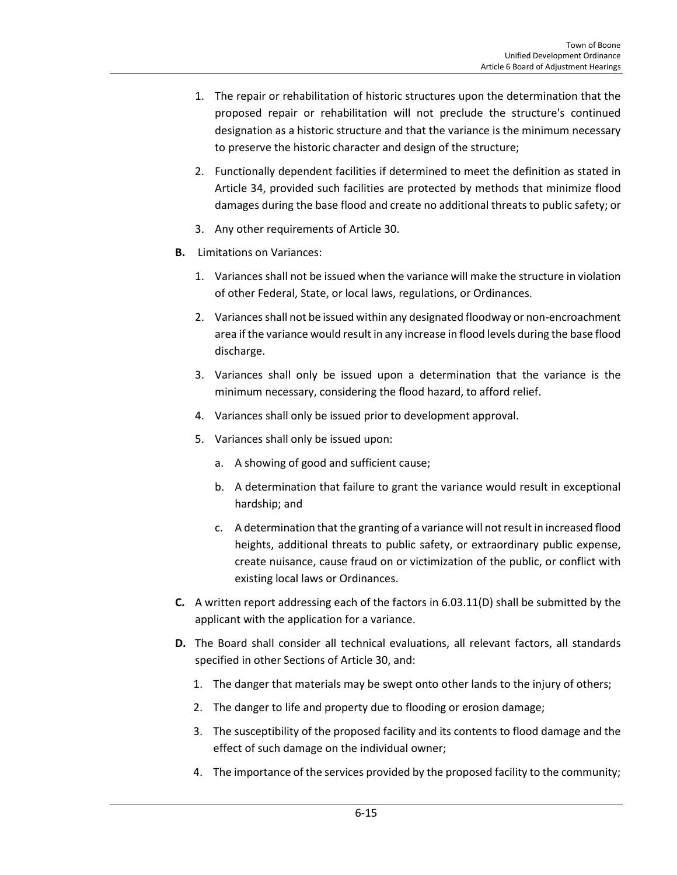- 1. The repair or rehabilitation of historic structures upon the determination that the proposed repair or rehabilitation will not preclude the structure's continued designation as a historic structure and that the variance is the minimum necessary to preserve the historic character and design of the structure;
- 2. Functionally dependent facilities if determined to meet the definition as stated in Article 34, provided such facilities are protected by methods that minimize flood damages during the base flood and create no additional threats to public safety; or
- 3. Any other requirements of Article 30.
- **B.** Limitations on Variances:
	- 1. Variances shall not be issued when the variance will make the structure in violation of other Federal, State, or local laws, regulations, or Ordinances.
	- 2. Variances shall not be issued within any designated floodway or non-encroachment area if the variance would result in any increase in flood levels during the base flood discharge.
	- 3. Variances shall only be issued upon a determination that the variance is the minimum necessary, considering the flood hazard, to afford relief.
	- 4. Variances shall only be issued prior to development approval.
	- 5. Variances shall only be issued upon:
		- a. A showing of good and sufficient cause;
		- b. A determination that failure to grant the variance would result in exceptional hardship; and
		- c. A determination that the granting of a variance will not result in increased flood heights, additional threats to public safety, or extraordinary public expense, create nuisance, cause fraud on or victimization of the public, or conflict with existing local laws or Ordinances.
- **C.** A written report addressing each of the factors in 6.03.11(D) shall be submitted by the applicant with the application for a variance.
- **D.** The Board shall consider all technical evaluations, all relevant factors, all standards specified in other Sections of Article 30, and:
	- 1. The danger that materials may be swept onto other lands to the injury of others;
	- 2. The danger to life and property due to flooding or erosion damage;
	- 3. The susceptibility of the proposed facility and its contents to flood damage and the effect of such damage on the individual owner;
	- 4. The importance of the services provided by the proposed facility to the community;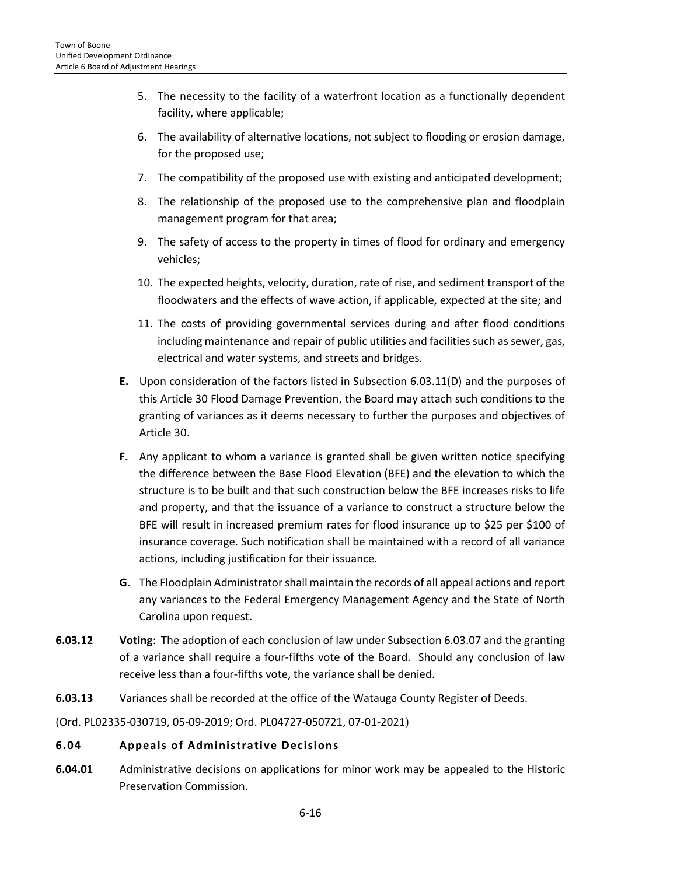- 5. The necessity to the facility of a waterfront location as a functionally dependent facility, where applicable;
- 6. The availability of alternative locations, not subject to flooding or erosion damage, for the proposed use;
- 7. The compatibility of the proposed use with existing and anticipated development;
- 8. The relationship of the proposed use to the comprehensive plan and floodplain management program for that area;
- 9. The safety of access to the property in times of flood for ordinary and emergency vehicles;
- 10. The expected heights, velocity, duration, rate of rise, and sediment transport of the floodwaters and the effects of wave action, if applicable, expected at the site; and
- 11. The costs of providing governmental services during and after flood conditions including maintenance and repair of public utilities and facilities such as sewer, gas, electrical and water systems, and streets and bridges.
- **E.** Upon consideration of the factors listed in Subsection 6.03.11(D) and the purposes of this Article 30 Flood Damage Prevention, the Board may attach such conditions to the granting of variances as it deems necessary to further the purposes and objectives of Article 30.
- **F.** Any applicant to whom a variance is granted shall be given written notice specifying the difference between the Base Flood Elevation (BFE) and the elevation to which the structure is to be built and that such construction below the BFE increases risks to life and property, and that the issuance of a variance to construct a structure below the BFE will result in increased premium rates for flood insurance up to \$25 per \$100 of insurance coverage. Such notification shall be maintained with a record of all variance actions, including justification for their issuance.
- **G.** The Floodplain Administrator shall maintain the records of all appeal actions and report any variances to the Federal Emergency Management Agency and the State of North Carolina upon request.
- **6.03.12 Voting**: The adoption of each conclusion of law under Subsection 6.03.07 and the granting of a variance shall require a four-fifths vote of the Board. Should any conclusion of law receive less than a four-fifths vote, the variance shall be denied.
- **6.03.13** Variances shall be recorded at the office of the Watauga County Register of Deeds.

(Ord. PL02335-030719, 05-09-2019; Ord. PL04727-050721, 07-01-2021)

# <span id="page-15-0"></span>**6.04 Appeals of Administrative Decisions**

**6.04.01** Administrative decisions on applications for minor work may be appealed to the Historic Preservation Commission.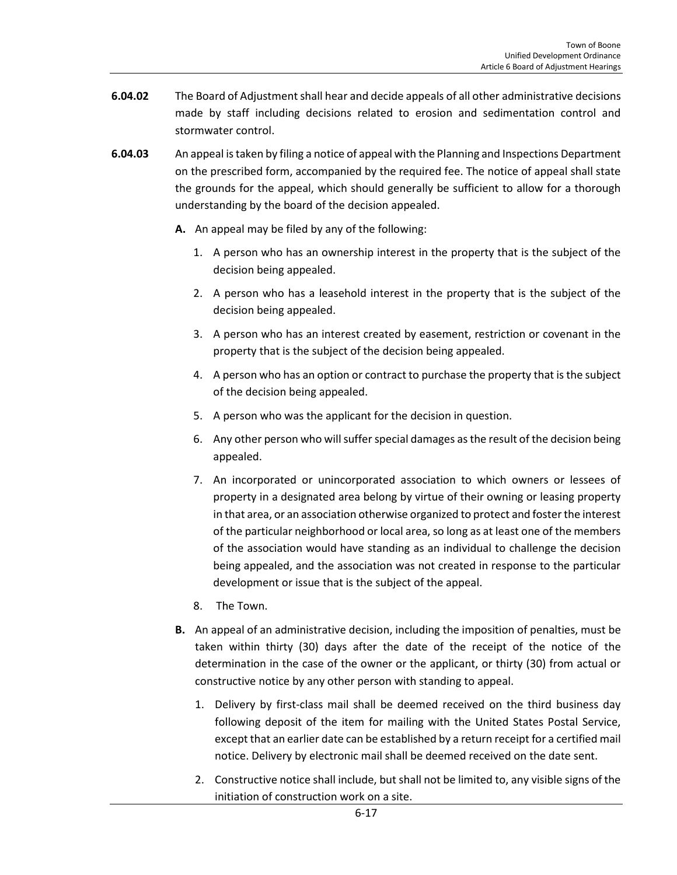- **6.04.02** The Board of Adjustment shall hear and decide appeals of all other administrative decisions made by staff including decisions related to erosion and sedimentation control and stormwater control.
- **6.04.03** An appeal is taken by filing a notice of appeal with the Planning and Inspections Department on the prescribed form, accompanied by the required fee. The notice of appeal shall state the grounds for the appeal, which should generally be sufficient to allow for a thorough understanding by the board of the decision appealed.
	- **A.** An appeal may be filed by any of the following:
		- 1. A person who has an ownership interest in the property that is the subject of the decision being appealed.
		- 2. A person who has a leasehold interest in the property that is the subject of the decision being appealed.
		- 3. A person who has an interest created by easement, restriction or covenant in the property that is the subject of the decision being appealed.
		- 4. A person who has an option or contract to purchase the property that is the subject of the decision being appealed.
		- 5. A person who was the applicant for the decision in question.
		- 6. Any other person who will suffer special damages as the result of the decision being appealed.
		- 7. An incorporated or unincorporated association to which owners or lessees of property in a designated area belong by virtue of their owning or leasing property in that area, or an association otherwise organized to protect and foster the interest of the particular neighborhood or local area, so long as at least one of the members of the association would have standing as an individual to challenge the decision being appealed, and the association was not created in response to the particular development or issue that is the subject of the appeal.
		- 8. The Town.
	- **B.** An appeal of an administrative decision, including the imposition of penalties, must be taken within thirty (30) days after the date of the receipt of the notice of the determination in the case of the owner or the applicant, or thirty (30) from actual or constructive notice by any other person with standing to appeal.
		- 1. Delivery by first-class mail shall be deemed received on the third business day following deposit of the item for mailing with the United States Postal Service, except that an earlier date can be established by a return receipt for a certified mail notice. Delivery by electronic mail shall be deemed received on the date sent.
		- 2. Constructive notice shall include, but shall not be limited to, any visible signs of the initiation of construction work on a site.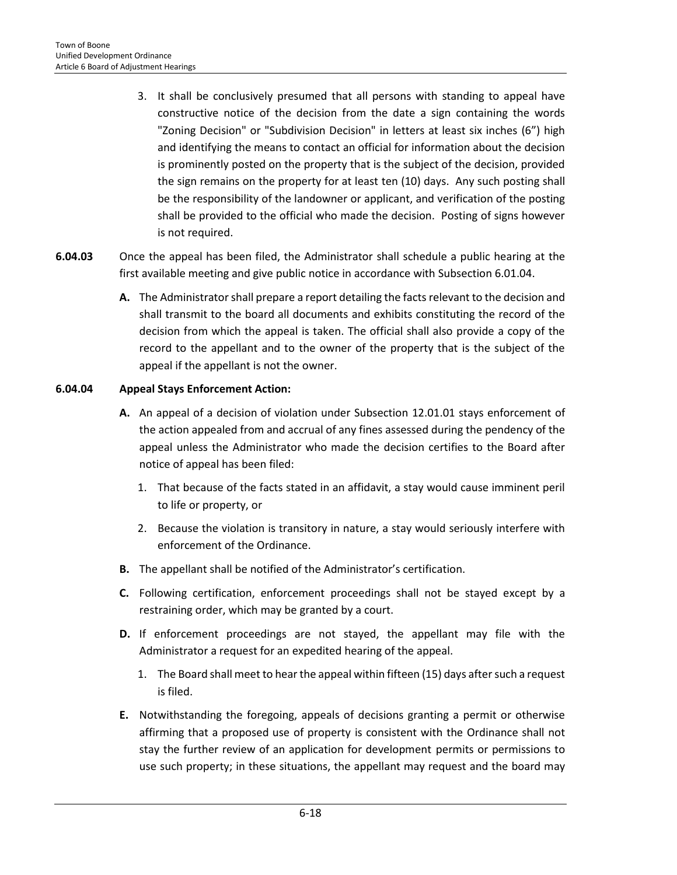- 3. It shall be conclusively presumed that all persons with standing to appeal have constructive notice of the decision from the date a sign containing the words "Zoning Decision" or "Subdivision Decision" in letters at least six inches (6") high and identifying the means to contact an official for information about the decision is prominently posted on the property that is the subject of the decision, provided the sign remains on the property for at least ten (10) days. Any such posting shall be the responsibility of the landowner or applicant, and verification of the posting shall be provided to the official who made the decision. Posting of signs however is not required.
- **6.04.03** Once the appeal has been filed, the Administrator shall schedule a public hearing at the first available meeting and give public notice in accordance with Subsection 6.01.04.
	- **A.** The Administrator shall prepare a report detailing the facts relevant to the decision and shall transmit to the board all documents and exhibits constituting the record of the decision from which the appeal is taken. The official shall also provide a copy of the record to the appellant and to the owner of the property that is the subject of the appeal if the appellant is not the owner.

# **6.04.04 Appeal Stays Enforcement Action:**

- **A.** An appeal of a decision of violation under Subsection 12.01.01 stays enforcement of the action appealed from and accrual of any fines assessed during the pendency of the appeal unless the Administrator who made the decision certifies to the Board after notice of appeal has been filed:
	- 1. That because of the facts stated in an affidavit, a stay would cause imminent peril to life or property, or
	- 2. Because the violation is transitory in nature, a stay would seriously interfere with enforcement of the Ordinance.
- **B.** The appellant shall be notified of the Administrator's certification.
- **C.** Following certification, enforcement proceedings shall not be stayed except by a restraining order, which may be granted by a court.
- **D.** If enforcement proceedings are not stayed, the appellant may file with the Administrator a request for an expedited hearing of the appeal.
	- 1. The Board shall meet to hear the appeal within fifteen (15) days after such a request is filed.
- **E.** Notwithstanding the foregoing, appeals of decisions granting a permit or otherwise affirming that a proposed use of property is consistent with the Ordinance shall not stay the further review of an application for development permits or permissions to use such property; in these situations, the appellant may request and the board may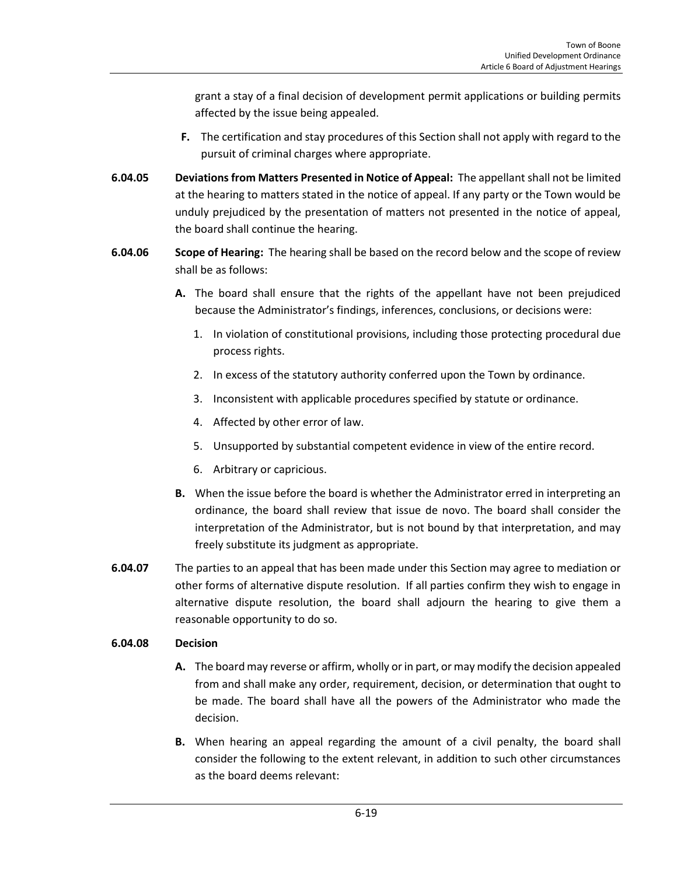grant a stay of a final decision of development permit applications or building permits affected by the issue being appealed.

- **F.** The certification and stay procedures of this Section shall not apply with regard to the pursuit of criminal charges where appropriate.
- **6.04.05 Deviations from Matters Presented in Notice of Appeal:** The appellant shall not be limited at the hearing to matters stated in the notice of appeal. If any party or the Town would be unduly prejudiced by the presentation of matters not presented in the notice of appeal, the board shall continue the hearing.
- **6.04.06 Scope of Hearing:** The hearing shall be based on the record below and the scope of review shall be as follows:
	- **A.** The board shall ensure that the rights of the appellant have not been prejudiced because the Administrator's findings, inferences, conclusions, or decisions were:
		- 1. In violation of constitutional provisions, including those protecting procedural due process rights.
		- 2. In excess of the statutory authority conferred upon the Town by ordinance.
		- 3. Inconsistent with applicable procedures specified by statute or ordinance.
		- 4. Affected by other error of law.
		- 5. Unsupported by substantial competent evidence in view of the entire record.
		- 6. Arbitrary or capricious.
	- **B.** When the issue before the board is whether the Administrator erred in interpreting an ordinance, the board shall review that issue de novo. The board shall consider the interpretation of the Administrator, but is not bound by that interpretation, and may freely substitute its judgment as appropriate.
- **6.04.07** The parties to an appeal that has been made under this Section may agree to mediation or other forms of alternative dispute resolution. If all parties confirm they wish to engage in alternative dispute resolution, the board shall adjourn the hearing to give them a reasonable opportunity to do so.

# **6.04.08 Decision**

- **A.** The board may reverse or affirm, wholly or in part, or may modify the decision appealed from and shall make any order, requirement, decision, or determination that ought to be made. The board shall have all the powers of the Administrator who made the decision.
- **B.** When hearing an appeal regarding the amount of a civil penalty, the board shall consider the following to the extent relevant, in addition to such other circumstances as the board deems relevant: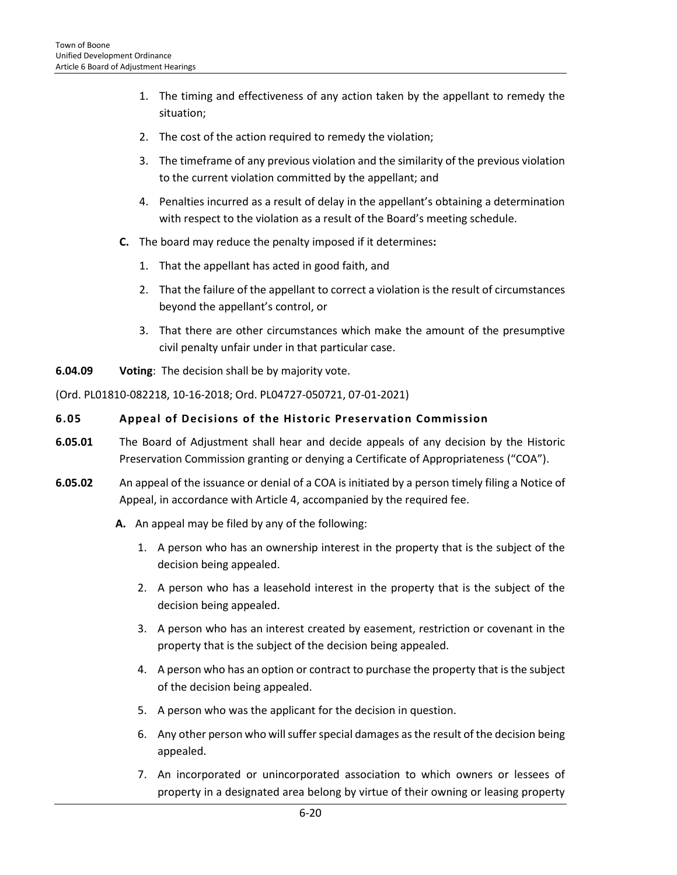- 1. The timing and effectiveness of any action taken by the appellant to remedy the situation;
- 2. The cost of the action required to remedy the violation;
- 3. The timeframe of any previous violation and the similarity of the previous violation to the current violation committed by the appellant; and
- 4. Penalties incurred as a result of delay in the appellant's obtaining a determination with respect to the violation as a result of the Board's meeting schedule.
- **C.** The board may reduce the penalty imposed if it determines**:**
	- 1. That the appellant has acted in good faith, and
	- 2. That the failure of the appellant to correct a violation is the result of circumstances beyond the appellant's control, or
	- 3. That there are other circumstances which make the amount of the presumptive civil penalty unfair under in that particular case.
- **6.04.09 Voting**: The decision shall be by majority vote.

(Ord. PL01810-082218, 10-16-2018; Ord. PL04727-050721, 07-01-2021)

#### <span id="page-19-0"></span>**6.05 Appeal of Decisions of the Historic Preservation Commission**

- **6.05.01** The Board of Adjustment shall hear and decide appeals of any decision by the Historic Preservation Commission granting or denying a Certificate of Appropriateness ("COA").
- **6.05.02** An appeal of the issuance or denial of a COA is initiated by a person timely filing a Notice of Appeal, in accordance with Article 4, accompanied by the required fee.
	- **A.** An appeal may be filed by any of the following:
		- 1. A person who has an ownership interest in the property that is the subject of the decision being appealed.
		- 2. A person who has a leasehold interest in the property that is the subject of the decision being appealed.
		- 3. A person who has an interest created by easement, restriction or covenant in the property that is the subject of the decision being appealed.
		- 4. A person who has an option or contract to purchase the property that is the subject of the decision being appealed.
		- 5. A person who was the applicant for the decision in question.
		- 6. Any other person who will suffer special damages as the result of the decision being appealed.
		- 7. An incorporated or unincorporated association to which owners or lessees of property in a designated area belong by virtue of their owning or leasing property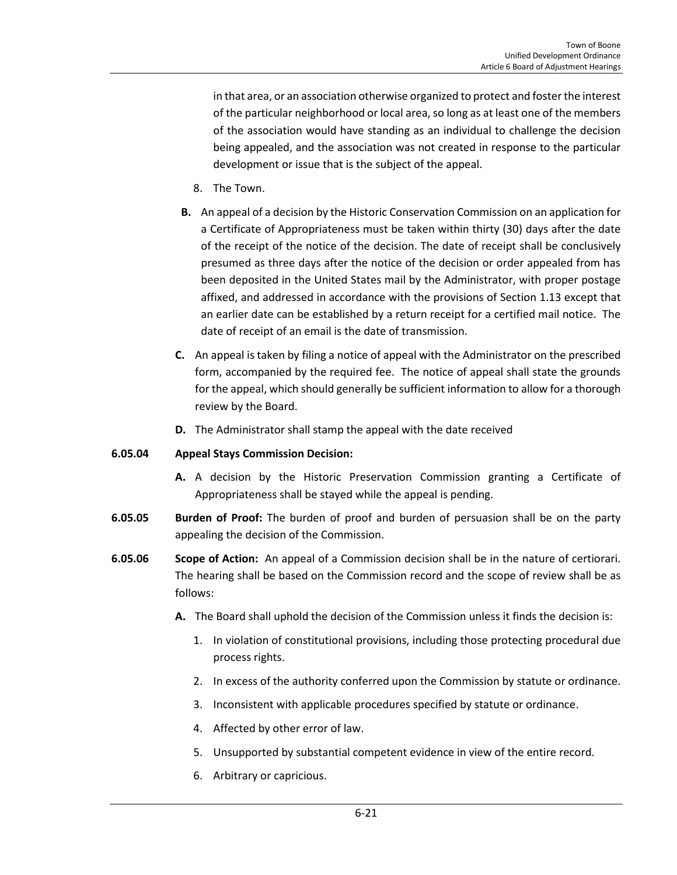in that area, or an association otherwise organized to protect and foster the interest of the particular neighborhood or local area, so long as at least one of the members of the association would have standing as an individual to challenge the decision being appealed, and the association was not created in response to the particular development or issue that is the subject of the appeal.

- 8. The Town.
- **B.** An appeal of a decision by the Historic Conservation Commission on an application for a Certificate of Appropriateness must be taken within thirty (30) days after the date of the receipt of the notice of the decision. The date of receipt shall be conclusively presumed as three days after the notice of the decision or order appealed from has been deposited in the United States mail by the Administrator, with proper postage affixed, and addressed in accordance with the provisions of Section 1.13 except that an earlier date can be established by a return receipt for a certified mail notice. The date of receipt of an email is the date of transmission.
- **C.** An appeal is taken by filing a notice of appeal with the Administrator on the prescribed form, accompanied by the required fee. The notice of appeal shall state the grounds for the appeal, which should generally be sufficient information to allow for a thorough review by the Board.
- **D.** The Administrator shall stamp the appeal with the date received

#### **6.05.04 Appeal Stays Commission Decision:**

- **A.** A decision by the Historic Preservation Commission granting a Certificate of Appropriateness shall be stayed while the appeal is pending.
- **6.05.05 Burden of Proof:** The burden of proof and burden of persuasion shall be on the party appealing the decision of the Commission.
- **6.05.06 Scope of Action:** An appeal of a Commission decision shall be in the nature of certiorari. The hearing shall be based on the Commission record and the scope of review shall be as follows:
	- **A.** The Board shall uphold the decision of the Commission unless it finds the decision is:
		- 1. In violation of constitutional provisions, including those protecting procedural due process rights.
		- 2. In excess of the authority conferred upon the Commission by statute or ordinance.
		- 3. Inconsistent with applicable procedures specified by statute or ordinance.
		- 4. Affected by other error of law.
		- 5. Unsupported by substantial competent evidence in view of the entire record.
		- 6. Arbitrary or capricious.